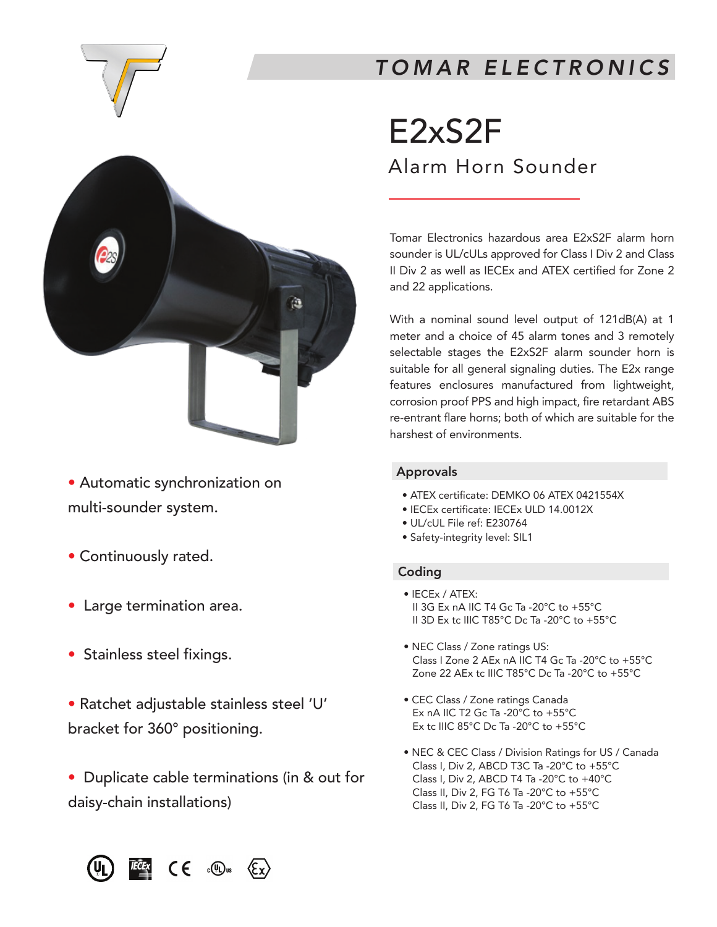

# *TOMAR ELECTRONICS*



- Automatic synchronization on multi-sounder system. tomatic :
- Continuously rated.
- Large termination area.
- Stainless steel fixings. ' ainles
- · Ratchet adjustable stainless steel 'U' bracket for 360° positioning. turet aujustable sta Ket for 300° D

70 C#

• Duplicate cable terminations (in & out for daisy-chain installations) apricate capic te

# E2xS2F

Alarm Horn Sounder

Tomar Electronics hazardous area E2xS2F alarm horn sounder is UL/cULs approved for Class I Div 2 and Class II Div 2 as well as IECEx and ATEX certified for Zone 2 and 22 applications.

With a nominal sound level output of 121dB(A) at 1 meter and a choice of 45 alarm tones and 3 remotely selectable stages the E2xS2F alarm sounder horn is suitable for all general signaling duties. The E2x range features enclosures manufactured from lightweight, corrosion proof PPS and high impact, fire retardant ABS re-entrant flare horns; both of which are suitable for the harshest of environments. - su

# Approvals

- ATEX certificate: DEMKO 06 ATEX 0421554X
- IECEx certificate: IECEx ULD 14.0012X
- UL/cUL File ref: E230764
- Safety-integrity level: SIL1

# Coding

- IECEx / ATEX: II 3G Ex nA IIC T4 Gc Ta -20°C to +55°C II 3D Ex tc IIIC T85°C Dc Ta -20°C to +55°C
- NEC Class / Zone ratings US: Class I Zone 2 AEx nA IIC T4 Gc Ta -20°C to +55°C Zone 22 AEx tc IIIC T85°C Dc Ta -20°C to +55°C
- CEC Class / Zone ratings Canada Ex nA IIC T2 Gc Ta -20°C to +55°C Ex tc IIIC 85°C Dc Ta -20°C to +55°C
- NEC & CEC Class / Division Ratings for US / Canada Class I, Div 2, ABCD T3C Ta -20°C to +55°C Class I, Div 2, ABCD T4 Ta -20°C to +40°C Class II, Div 2, FG T6 Ta -20°C to +55°C Class II, Div 2, FG T6 Ta -20°C to +55°C